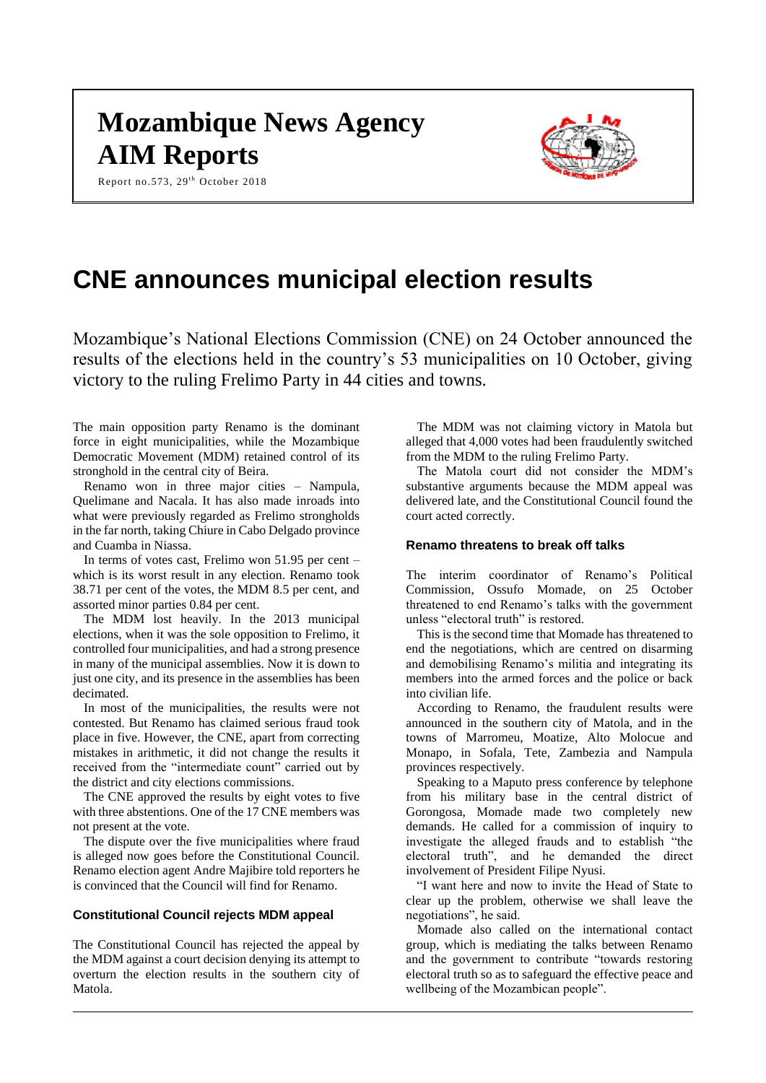# **Mozambique News Agency AIM Reports**

Report no.573, 29<sup>th</sup> October 2018



# **CNE announces municipal election results**

Mozambique's National Elections Commission (CNE) on 24 October announced the results of the elections held in the country's 53 municipalities on 10 October, giving victory to the ruling Frelimo Party in 44 cities and towns.

The main opposition party Renamo is the dominant force in eight municipalities, while the Mozambique Democratic Movement (MDM) retained control of its stronghold in the central city of Beira.

Renamo won in three major cities – Nampula, Quelimane and Nacala. It has also made inroads into what were previously regarded as Frelimo strongholds in the far north, taking Chiure in Cabo Delgado province and Cuamba in Niassa.

In terms of votes cast, Frelimo won 51.95 per cent – which is its worst result in any election. Renamo took 38.71 per cent of the votes, the MDM 8.5 per cent, and assorted minor parties 0.84 per cent.

The MDM lost heavily. In the 2013 municipal elections, when it was the sole opposition to Frelimo, it controlled four municipalities, and had a strong presence in many of the municipal assemblies. Now it is down to just one city, and its presence in the assemblies has been decimated.

In most of the municipalities, the results were not contested. But Renamo has claimed serious fraud took place in five. However, the CNE, apart from correcting mistakes in arithmetic, it did not change the results it received from the "intermediate count" carried out by the district and city elections commissions.

The CNE approved the results by eight votes to five with three abstentions. One of the 17 CNE members was not present at the vote.

The dispute over the five municipalities where fraud is alleged now goes before the Constitutional Council. Renamo election agent Andre Majibire told reporters he is convinced that the Council will find for Renamo.

# **Constitutional Council rejects MDM appeal**

The Constitutional Council has rejected the appeal by the MDM against a court decision denying its attempt to overturn the election results in the southern city of Matola.

The MDM was not claiming victory in Matola but alleged that 4,000 votes had been fraudulently switched from the MDM to the ruling Frelimo Party.

The Matola court did not consider the MDM's substantive arguments because the MDM appeal was delivered late, and the Constitutional Council found the court acted correctly.

# **Renamo threatens to break off talks**

The interim coordinator of Renamo's Political Commission, Ossufo Momade, on 25 October threatened to end Renamo's talks with the government unless "electoral truth" is restored.

This is the second time that Momade has threatened to end the negotiations, which are centred on disarming and demobilising Renamo's militia and integrating its members into the armed forces and the police or back into civilian life.

According to Renamo, the fraudulent results were announced in the southern city of Matola, and in the towns of Marromeu, Moatize, Alto Molocue and Monapo, in Sofala, Tete, Zambezia and Nampula provinces respectively.

Speaking to a Maputo press conference by telephone from his military base in the central district of Gorongosa, Momade made two completely new demands. He called for a commission of inquiry to investigate the alleged frauds and to establish "the electoral truth", and he demanded the direct involvement of President Filipe Nyusi.

"I want here and now to invite the Head of State to clear up the problem, otherwise we shall leave the negotiations", he said.

Momade also called on the international contact group, which is mediating the talks between Renamo and the government to contribute "towards restoring electoral truth so as to safeguard the effective peace and wellbeing of the Mozambican people".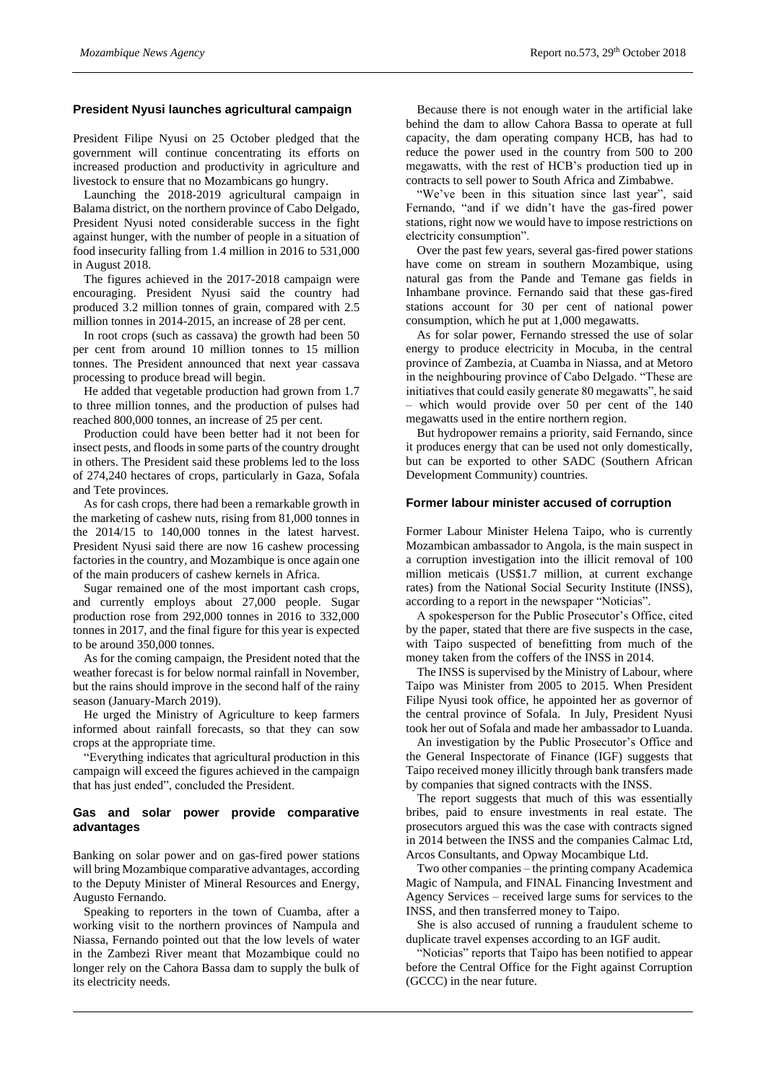# **President Nyusi launches agricultural campaign**

President Filipe Nyusi on 25 October pledged that the government will continue concentrating its efforts on increased production and productivity in agriculture and livestock to ensure that no Mozambicans go hungry.

Launching the 2018-2019 agricultural campaign in Balama district, on the northern province of Cabo Delgado, President Nyusi noted considerable success in the fight against hunger, with the number of people in a situation of food insecurity falling from 1.4 million in 2016 to 531,000 in August 2018.

The figures achieved in the 2017-2018 campaign were encouraging. President Nyusi said the country had produced 3.2 million tonnes of grain, compared with 2.5 million tonnes in 2014-2015, an increase of 28 per cent.

In root crops (such as cassava) the growth had been 50 per cent from around 10 million tonnes to 15 million tonnes. The President announced that next year cassava processing to produce bread will begin.

He added that vegetable production had grown from 1.7 to three million tonnes, and the production of pulses had reached 800,000 tonnes, an increase of 25 per cent.

Production could have been better had it not been for insect pests, and floods in some parts of the country drought in others. The President said these problems led to the loss of 274,240 hectares of crops, particularly in Gaza, Sofala and Tete provinces.

As for cash crops, there had been a remarkable growth in the marketing of cashew nuts, rising from 81,000 tonnes in the 2014/15 to 140,000 tonnes in the latest harvest. President Nyusi said there are now 16 cashew processing factories in the country, and Mozambique is once again one of the main producers of cashew kernels in Africa.

Sugar remained one of the most important cash crops, and currently employs about 27,000 people. Sugar production rose from 292,000 tonnes in 2016 to 332,000 tonnes in 2017, and the final figure for this year is expected to be around 350,000 tonnes.

As for the coming campaign, the President noted that the weather forecast is for below normal rainfall in November, but the rains should improve in the second half of the rainy season (January-March 2019).

He urged the Ministry of Agriculture to keep farmers informed about rainfall forecasts, so that they can sow crops at the appropriate time.

"Everything indicates that agricultural production in this campaign will exceed the figures achieved in the campaign that has just ended", concluded the President.

# **Gas and solar power provide comparative advantages**

Banking on solar power and on gas-fired power stations will bring Mozambique comparative advantages, according to the Deputy Minister of Mineral Resources and Energy, Augusto Fernando.

Speaking to reporters in the town of Cuamba, after a working visit to the northern provinces of Nampula and Niassa, Fernando pointed out that the low levels of water in the Zambezi River meant that Mozambique could no longer rely on the Cahora Bassa dam to supply the bulk of its electricity needs.

Because there is not enough water in the artificial lake behind the dam to allow Cahora Bassa to operate at full capacity, the dam operating company HCB, has had to reduce the power used in the country from 500 to 200 megawatts, with the rest of HCB's production tied up in contracts to sell power to South Africa and Zimbabwe.

"We've been in this situation since last year", said Fernando, "and if we didn't have the gas-fired power stations, right now we would have to impose restrictions on electricity consumption".

Over the past few years, several gas-fired power stations have come on stream in southern Mozambique, using natural gas from the Pande and Temane gas fields in Inhambane province. Fernando said that these gas-fired stations account for 30 per cent of national power consumption, which he put at 1,000 megawatts.

As for solar power, Fernando stressed the use of solar energy to produce electricity in Mocuba, in the central province of Zambezia, at Cuamba in Niassa, and at Metoro in the neighbouring province of Cabo Delgado. "These are initiatives that could easily generate 80 megawatts", he said – which would provide over 50 per cent of the 140 megawatts used in the entire northern region.

But hydropower remains a priority, said Fernando, since it produces energy that can be used not only domestically, but can be exported to other SADC (Southern African Development Community) countries.

# **Former labour minister accused of corruption**

Former Labour Minister Helena Taipo, who is currently Mozambican ambassador to Angola, is the main suspect in a corruption investigation into the illicit removal of 100 million meticais (US\$1.7 million, at current exchange rates) from the National Social Security Institute (INSS), according to a report in the newspaper "Noticias".

A spokesperson for the Public Prosecutor's Office, cited by the paper, stated that there are five suspects in the case, with Taipo suspected of benefitting from much of the money taken from the coffers of the INSS in 2014.

The INSS is supervised by the Ministry of Labour, where Taipo was Minister from 2005 to 2015. When President Filipe Nyusi took office, he appointed her as governor of the central province of Sofala. In July, President Nyusi took her out of Sofala and made her ambassador to Luanda.

An investigation by the Public Prosecutor's Office and the General Inspectorate of Finance (IGF) suggests that Taipo received money illicitly through bank transfers made by companies that signed contracts with the INSS.

The report suggests that much of this was essentially bribes, paid to ensure investments in real estate. The prosecutors argued this was the case with contracts signed in 2014 between the INSS and the companies Calmac Ltd, Arcos Consultants, and Opway Mocambique Ltd.

Two other companies – the printing company Academica Magic of Nampula, and FINAL Financing Investment and Agency Services – received large sums for services to the INSS, and then transferred money to Taipo.

She is also accused of running a fraudulent scheme to duplicate travel expenses according to an IGF audit.

"Noticias" reports that Taipo has been notified to appear before the Central Office for the Fight against Corruption (GCCC) in the near future.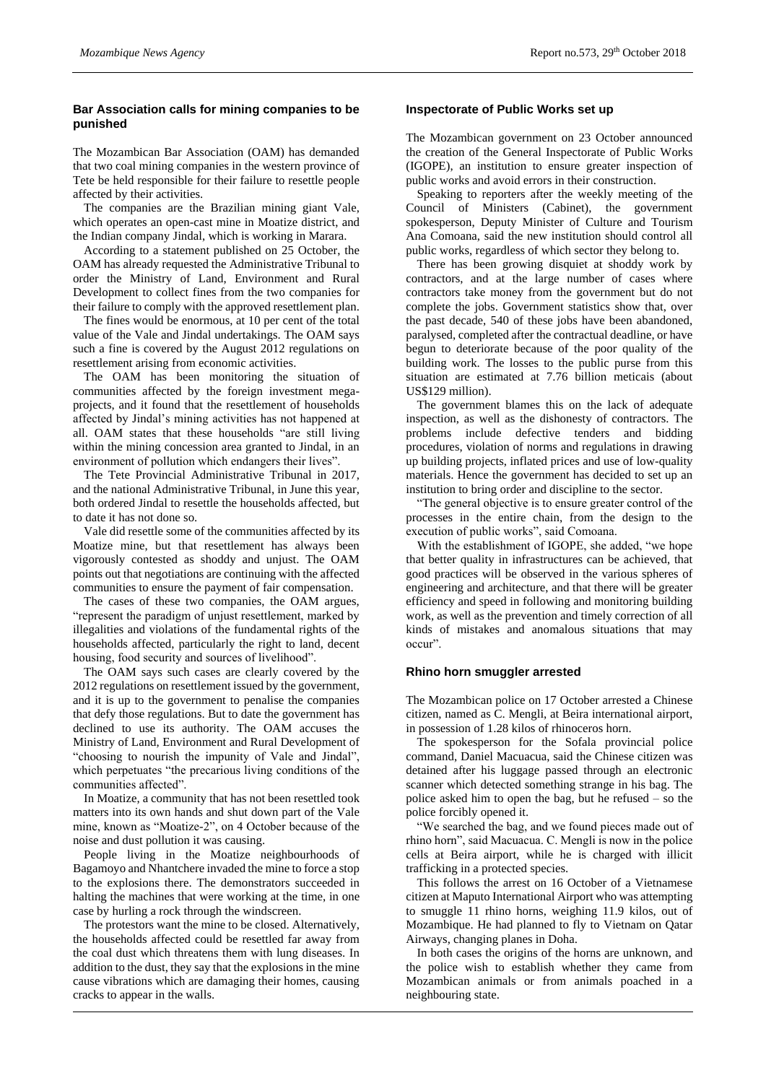# **Bar Association calls for mining companies to be punished**

The Mozambican Bar Association (OAM) has demanded that two coal mining companies in the western province of Tete be held responsible for their failure to resettle people affected by their activities.

The companies are the Brazilian mining giant Vale, which operates an open-cast mine in Moatize district, and the Indian company Jindal, which is working in Marara.

According to a statement published on 25 October, the OAM has already requested the Administrative Tribunal to order the Ministry of Land, Environment and Rural Development to collect fines from the two companies for their failure to comply with the approved resettlement plan.

The fines would be enormous, at 10 per cent of the total value of the Vale and Jindal undertakings. The OAM says such a fine is covered by the August 2012 regulations on resettlement arising from economic activities.

The OAM has been monitoring the situation of communities affected by the foreign investment megaprojects, and it found that the resettlement of households affected by Jindal's mining activities has not happened at all. OAM states that these households "are still living within the mining concession area granted to Jindal, in an environment of pollution which endangers their lives".

The Tete Provincial Administrative Tribunal in 2017, and the national Administrative Tribunal, in June this year, both ordered Jindal to resettle the households affected, but to date it has not done so.

Vale did resettle some of the communities affected by its Moatize mine, but that resettlement has always been vigorously contested as shoddy and unjust. The OAM points out that negotiations are continuing with the affected communities to ensure the payment of fair compensation.

The cases of these two companies, the OAM argues, "represent the paradigm of unjust resettlement, marked by illegalities and violations of the fundamental rights of the households affected, particularly the right to land, decent housing, food security and sources of livelihood".

The OAM says such cases are clearly covered by the 2012 regulations on resettlement issued by the government, and it is up to the government to penalise the companies that defy those regulations. But to date the government has declined to use its authority. The OAM accuses the Ministry of Land, Environment and Rural Development of "choosing to nourish the impunity of Vale and Jindal", which perpetuates "the precarious living conditions of the communities affected".

In Moatize, a community that has not been resettled took matters into its own hands and shut down part of the Vale mine, known as "Moatize-2", on 4 October because of the noise and dust pollution it was causing.

People living in the Moatize neighbourhoods of Bagamoyo and Nhantchere invaded the mine to force a stop to the explosions there. The demonstrators succeeded in halting the machines that were working at the time, in one case by hurling a rock through the windscreen.

The protestors want the mine to be closed. Alternatively, the households affected could be resettled far away from the coal dust which threatens them with lung diseases. In addition to the dust, they say that the explosions in the mine cause vibrations which are damaging their homes, causing cracks to appear in the walls.

# **Inspectorate of Public Works set up**

The Mozambican government on 23 October announced the creation of the General Inspectorate of Public Works (IGOPE), an institution to ensure greater inspection of public works and avoid errors in their construction.

Speaking to reporters after the weekly meeting of the Council of Ministers (Cabinet), the government spokesperson, Deputy Minister of Culture and Tourism Ana Comoana, said the new institution should control all public works, regardless of which sector they belong to.

There has been growing disquiet at shoddy work by contractors, and at the large number of cases where contractors take money from the government but do not complete the jobs. Government statistics show that, over the past decade, 540 of these jobs have been abandoned, paralysed, completed after the contractual deadline, or have begun to deteriorate because of the poor quality of the building work. The losses to the public purse from this situation are estimated at 7.76 billion meticais (about US\$129 million).

The government blames this on the lack of adequate inspection, as well as the dishonesty of contractors. The problems include defective tenders and bidding procedures, violation of norms and regulations in drawing up building projects, inflated prices and use of low-quality materials. Hence the government has decided to set up an institution to bring order and discipline to the sector.

"The general objective is to ensure greater control of the processes in the entire chain, from the design to the execution of public works", said Comoana.

With the establishment of IGOPE, she added, "we hope that better quality in infrastructures can be achieved, that good practices will be observed in the various spheres of engineering and architecture, and that there will be greater efficiency and speed in following and monitoring building work, as well as the prevention and timely correction of all kinds of mistakes and anomalous situations that may occur".

#### **Rhino horn smuggler arrested**

The Mozambican police on 17 October arrested a Chinese citizen, named as C. Mengli, at Beira international airport, in possession of 1.28 kilos of rhinoceros horn.

The spokesperson for the Sofala provincial police command, Daniel Macuacua, said the Chinese citizen was detained after his luggage passed through an electronic scanner which detected something strange in his bag. The police asked him to open the bag, but he refused – so the police forcibly opened it.

"We searched the bag, and we found pieces made out of rhino horn", said Macuacua. C. Mengli is now in the police cells at Beira airport, while he is charged with illicit trafficking in a protected species.

This follows the arrest on 16 October of a Vietnamese citizen at Maputo International Airport who was attempting to smuggle 11 rhino horns, weighing 11.9 kilos, out of Mozambique. He had planned to fly to Vietnam on Qatar Airways, changing planes in Doha.

In both cases the origins of the horns are unknown, and the police wish to establish whether they came from Mozambican animals or from animals poached in a neighbouring state.